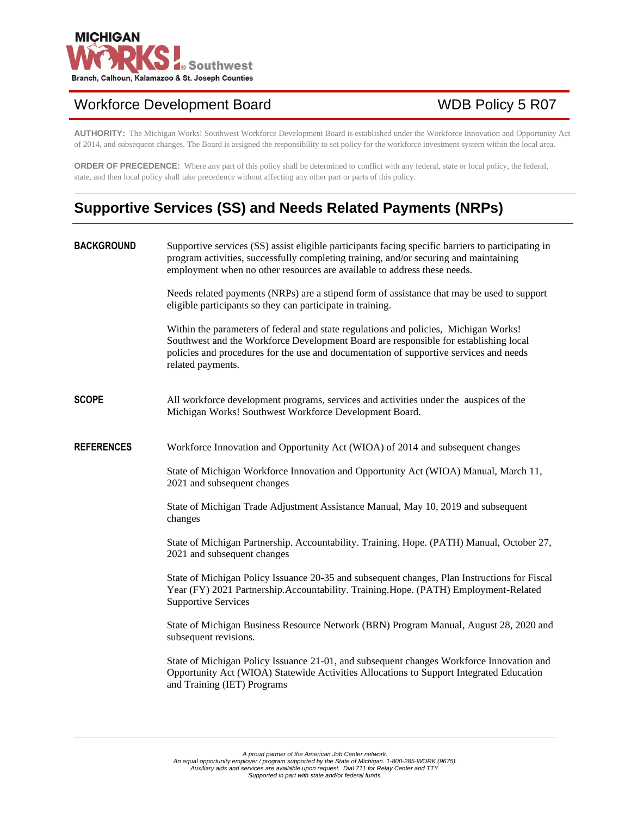

# Workforce Development Board WDB Policy 5 R07

**AUTHORITY:** The Michigan Works! Southwest Workforce Development Board is established under the Workforce Innovation and Opportunity Act of 2014, and subsequent changes. The Board is assigned the responsibility to set policy for the workforce investment system within the local area.

**ORDER OF PRECEDENCE:** Where any part of this policy shall be determined to conflict with any federal, state or local policy, the federal, state, and then local policy shall take precedence without affecting any other part or parts of this policy.

# **Supportive Services (SS) and Needs Related Payments (NRPs)**

| <b>BACKGROUND</b> | Supportive services (SS) assist eligible participants facing specific barriers to participating in<br>program activities, successfully completing training, and/or securing and maintaining<br>employment when no other resources are available to address these needs.                     |
|-------------------|---------------------------------------------------------------------------------------------------------------------------------------------------------------------------------------------------------------------------------------------------------------------------------------------|
|                   | Needs related payments (NRPs) are a stipend form of assistance that may be used to support<br>eligible participants so they can participate in training.                                                                                                                                    |
|                   | Within the parameters of federal and state regulations and policies, Michigan Works!<br>Southwest and the Workforce Development Board are responsible for establishing local<br>policies and procedures for the use and documentation of supportive services and needs<br>related payments. |
| <b>SCOPE</b>      | All workforce development programs, services and activities under the auspices of the<br>Michigan Works! Southwest Workforce Development Board.                                                                                                                                             |
| <b>REFERENCES</b> | Workforce Innovation and Opportunity Act (WIOA) of 2014 and subsequent changes                                                                                                                                                                                                              |
|                   | State of Michigan Workforce Innovation and Opportunity Act (WIOA) Manual, March 11,<br>2021 and subsequent changes                                                                                                                                                                          |
|                   | State of Michigan Trade Adjustment Assistance Manual, May 10, 2019 and subsequent<br>changes                                                                                                                                                                                                |
|                   | State of Michigan Partnership. Accountability. Training. Hope. (PATH) Manual, October 27,<br>2021 and subsequent changes                                                                                                                                                                    |
|                   | State of Michigan Policy Issuance 20-35 and subsequent changes, Plan Instructions for Fiscal<br>Year (FY) 2021 Partnership.Accountability. Training.Hope. (PATH) Employment-Related<br><b>Supportive Services</b>                                                                           |
|                   | State of Michigan Business Resource Network (BRN) Program Manual, August 28, 2020 and<br>subsequent revisions.                                                                                                                                                                              |
|                   | State of Michigan Policy Issuance 21-01, and subsequent changes Workforce Innovation and<br>Opportunity Act (WIOA) Statewide Activities Allocations to Support Integrated Education<br>and Training (IET) Programs                                                                          |
|                   |                                                                                                                                                                                                                                                                                             |

*\_\_\_\_\_\_\_\_\_\_\_\_\_\_\_\_\_\_\_\_\_\_\_\_\_\_\_\_\_\_\_\_\_\_\_\_\_\_\_\_\_\_\_\_\_\_\_\_\_\_\_\_\_\_\_\_\_\_\_\_\_\_\_\_\_\_\_\_\_\_\_\_\_\_\_\_\_\_\_\_\_\_\_\_\_\_\_\_\_\_\_\_\_\_\_\_\_\_\_\_\_\_\_\_\_\_\_\_\_\_\_\_\_\_\_\_\_\_\_\_\_\_\_\_\_\_\_\_\_\_\_\_\_\_\_\_\_\_\_\_*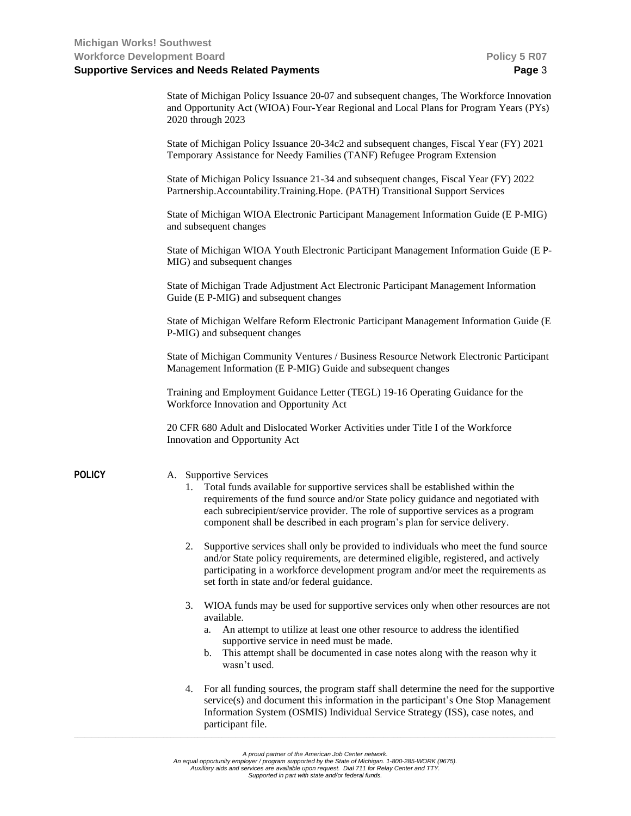| State of Michigan Policy Issuance 20-07 and subsequent changes, The Workforce Innovation |
|------------------------------------------------------------------------------------------|
| and Opportunity Act (WIOA) Four-Year Regional and Local Plans for Program Years (PYs)    |
| 2020 through 2023                                                                        |

| State of Michigan Policy Issuance 20-34c2 and subsequent changes, Fiscal Year (FY) 2021<br>Temporary Assistance for Needy Families (TANF) Refugee Program Extension |
|---------------------------------------------------------------------------------------------------------------------------------------------------------------------|
| State of Michigan Policy Issuance 21-34 and subsequent changes, Fiscal Year (FY) 2022                                                                               |
| Partnership.Accountability.Training.Hope. (PATH) Transitional Support Services                                                                                      |

State of Michigan WIOA Electronic Participant Management Information Guide (E P-MIG) and subsequent changes

State of Michigan WIOA Youth Electronic Participant Management Information Guide (E P-MIG) and subsequent changes

State of Michigan Trade Adjustment Act Electronic Participant Management Information Guide (E P-MIG) and subsequent changes

State of Michigan Welfare Reform Electronic Participant Management Information Guide (E P-MIG) and subsequent changes

State of Michigan Community Ventures / Business Resource Network Electronic Participant Management Information (E P-MIG) Guide and subsequent changes

Training and Employment Guidance Letter (TEGL) 19-16 Operating Guidance for the Workforce Innovation and Opportunity Act

20 CFR 680 Adult and Dislocated Worker Activities under Title I of the Workforce Innovation and Opportunity Act

### **POLICY** A. Supportive Services

- 1. Total funds available for supportive services shall be established within the requirements of the fund source and/or State policy guidance and negotiated with each subrecipient/service provider. The role of supportive services as a program component shall be described in each program's plan for service delivery.
- 2. Supportive services shall only be provided to individuals who meet the fund source and/or State policy requirements, are determined eligible, registered, and actively participating in a workforce development program and/or meet the requirements as set forth in state and/or federal guidance.
- 3. WIOA funds may be used for supportive services only when other resources are not available.
	- a. An attempt to utilize at least one other resource to address the identified supportive service in need must be made.
	- b. This attempt shall be documented in case notes along with the reason why it wasn't used.
- 4. For all funding sources, the program staff shall determine the need for the supportive service(s) and document this information in the participant's One Stop Management Information System (OSMIS) Individual Service Strategy (ISS), case notes, and participant file.

*\_\_\_\_\_\_\_\_\_\_\_\_\_\_\_\_\_\_\_\_\_\_\_\_\_\_\_\_\_\_\_\_\_\_\_\_\_\_\_\_\_\_\_\_\_\_\_\_\_\_\_\_\_\_\_\_\_\_\_\_\_\_\_\_\_\_\_\_\_\_\_\_\_\_\_\_\_\_\_\_\_\_\_\_\_\_\_\_\_\_\_\_\_\_\_\_\_\_\_\_\_\_\_\_\_\_\_\_\_\_\_\_\_\_\_\_\_\_\_\_\_\_\_\_\_\_\_\_\_\_\_\_\_\_\_\_\_\_\_\_*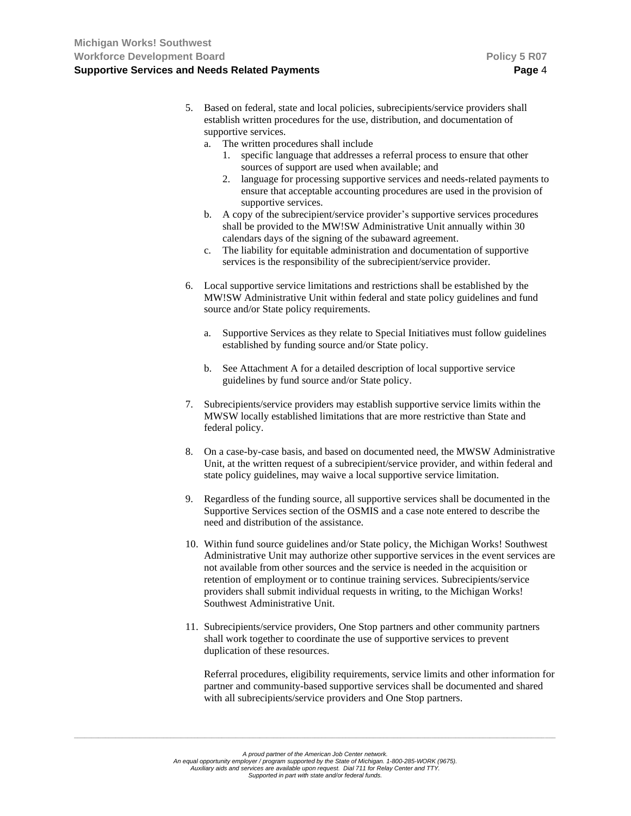- 5. Based on federal, state and local policies, subrecipients/service providers shall establish written procedures for the use, distribution, and documentation of supportive services.
	- a. The written procedures shall include
		- 1. specific language that addresses a referral process to ensure that other sources of support are used when available; and
		- 2. language for processing supportive services and needs-related payments to ensure that acceptable accounting procedures are used in the provision of supportive services.
	- b. A copy of the subrecipient/service provider's supportive services procedures shall be provided to the MW!SW Administrative Unit annually within 30 calendars days of the signing of the subaward agreement.
	- c. The liability for equitable administration and documentation of supportive services is the responsibility of the subrecipient/service provider.
- 6. Local supportive service limitations and restrictions shall be established by the MW!SW Administrative Unit within federal and state policy guidelines and fund source and/or State policy requirements.
	- a. Supportive Services as they relate to Special Initiatives must follow guidelines established by funding source and/or State policy.
	- b. See Attachment A for a detailed description of local supportive service guidelines by fund source and/or State policy.
- 7. Subrecipients/service providers may establish supportive service limits within the MWSW locally established limitations that are more restrictive than State and federal policy.
- 8. On a case-by-case basis, and based on documented need, the MWSW Administrative Unit, at the written request of a subrecipient/service provider, and within federal and state policy guidelines, may waive a local supportive service limitation.
- 9. Regardless of the funding source, all supportive services shall be documented in the Supportive Services section of the OSMIS and a case note entered to describe the need and distribution of the assistance.
- 10. Within fund source guidelines and/or State policy, the Michigan Works! Southwest Administrative Unit may authorize other supportive services in the event services are not available from other sources and the service is needed in the acquisition or retention of employment or to continue training services. Subrecipients/service providers shall submit individual requests in writing, to the Michigan Works! Southwest Administrative Unit.
- 11. Subrecipients/service providers, One Stop partners and other community partners shall work together to coordinate the use of supportive services to prevent duplication of these resources.

Referral procedures, eligibility requirements, service limits and other information for partner and community-based supportive services shall be documented and shared with all subrecipients/service providers and One Stop partners.

*\_\_\_\_\_\_\_\_\_\_\_\_\_\_\_\_\_\_\_\_\_\_\_\_\_\_\_\_\_\_\_\_\_\_\_\_\_\_\_\_\_\_\_\_\_\_\_\_\_\_\_\_\_\_\_\_\_\_\_\_\_\_\_\_\_\_\_\_\_\_\_\_\_\_\_\_\_\_\_\_\_\_\_\_\_\_\_\_\_\_\_\_\_\_\_\_\_\_\_\_\_\_\_\_\_\_\_\_\_\_\_\_\_\_\_\_\_\_\_\_\_\_\_\_\_\_\_\_\_\_\_\_\_\_\_\_\_\_\_\_*